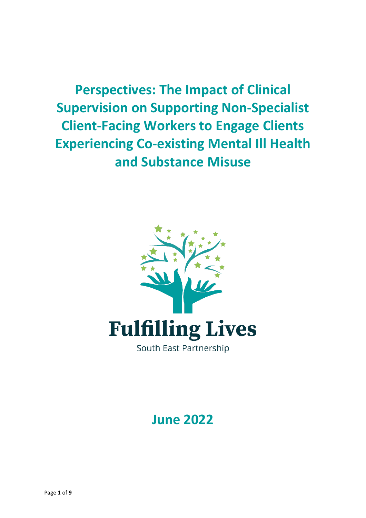**Perspectives: The Impact of Clinical Supervision on Supporting Non-Specialist Client-Facing Workers to Engage Clients Experiencing Co-existing Mental Ill Health and Substance Misuse**



**June 2022**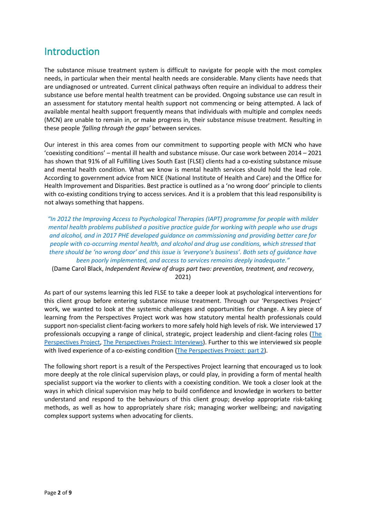# Introduction

The substance misuse treatment system is difficult to navigate for people with the most complex needs, in particular when their mental health needs are considerable. Many clients have needs that are undiagnosed or untreated. Current clinical pathways often require an individual to address their substance use before mental health treatment can be provided. Ongoing substance use can result in an assessment for statutory mental health support not commencing or being attempted. A lack of available mental health support frequently means that individuals with multiple and complex needs (MCN) are unable to remain in, or make progress in, their substance misuse treatment. Resulting in these people *'falling through the gaps'* between services.

Our interest in this area comes from our commitment to supporting people with MCN who have 'coexisting conditions' – mental ill health and substance misuse. Our case work between 2014 – 2021 has shown that 91% of all Fulfilling Lives South East (FLSE) clients had a co-existing substance misuse and mental health condition. What we know is mental health services should hold the lead role. According to government advice from NICE (National Institute of Health and Care) and the Office for Health Improvement and Disparities. Best practice is outlined as a 'no wrong door' principle to clients with co-existing conditions trying to access services. And it is a problem that this lead responsibility is not always something that happens.

*"In 2012 the Improving Access to Psychological Therapies (IAPT) programme for people with milder mental health problems published a [positive practice guide for working with people who use drugs](https://www.drugwise.org.uk/wp-content/uploads/iapt-drug-and-alcohol-positive-practice-guide.pdf)  [and alcohol,](https://www.drugwise.org.uk/wp-content/uploads/iapt-drug-and-alcohol-positive-practice-guide.pdf) and in 2017 PHE [developed guidance on commissioning and providing better care for](https://www.gov.uk/government/publications/people-with-co-occurring-conditions-commission-and-provide-services)  [people with co-occurring mental health, and alcohol and drug use conditions,](https://www.gov.uk/government/publications/people-with-co-occurring-conditions-commission-and-provide-services) which stressed that there should be 'no wrong door' and this issue is 'everyone's business'. Both sets of guidance have been poorly implemented, and access to services remains deeply inadequate."*

(Dame Carol Black, *Independent Review of drugs part two: prevention, treatment, and recovery*, 2021)

As part of our systems learning this led FLSE to take a deeper look at psychological interventions for this client group before entering substance misuse treatment. Through our 'Perspectives Project' work, we wanted to look at the systemic challenges and opportunities for change. A key piece of learning from the Perspectives Project work was how statutory mental health professionals could support non-specialist client-facing workers to more safely hold high levels of risk. We interviewed 17 professionals occupying a range of clinical, strategic, project leadership and client-facing roles [\(The](https://www.bht.org.uk/wp-content/uploads/2021/02/Fulfilling-Lives-T4-Psychological-Interviews-V22-1.pdf)  [Perspectives Project,](https://www.bht.org.uk/wp-content/uploads/2021/02/Fulfilling-Lives-T4-Psychological-Interviews-V22-1.pdf) The Perspectives [Project: Interviews\)](https://www.bht.org.uk/wp-content/uploads/2021/03/Perspectives-Project-Profile-Interviews-03.03.21.pdf). Further to this we interviewed six people with lived experience of a co-existing condition [\(The Perspectives Project: part 2\)](https://www.bht.org.uk/wp-content/uploads/2021/05/Fulfilling-Lives-T4-Perspectives-pt-II-V9.pdf).

The following short report is a result of the Perspectives Project learning that encouraged us to look more deeply at the role clinical supervision plays, or could play, in providing a form of mental health specialist support via the worker to clients with a coexisting condition. We took a closer look at the ways in which clinical supervision may help to build confidence and knowledge in workers to better understand and respond to the behaviours of this client group; develop appropriate risk-taking methods, as well as how to appropriately share risk; managing worker wellbeing; and navigating complex support systems when advocating for clients.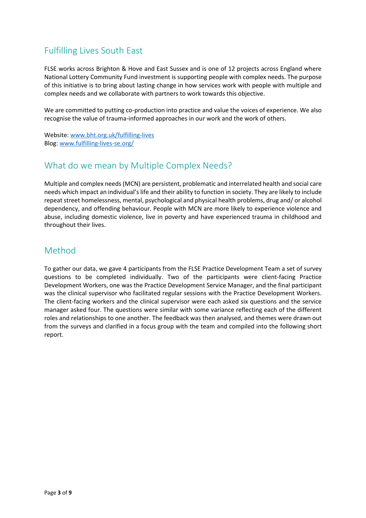## Fulfilling Lives South East

FLSE works across Brighton & Hove and East Sussex and is one of 12 projects across England where National Lottery Community Fund investment is supporting people with complex needs. The purpose of this initiative is to bring about lasting change in how services work with people with multiple and complex needs and we collaborate with partners to work towards this objective.

We are committed to putting co-production into practice and value the voices of experience. We also recognise the value of trauma-informed approaches in our work and the work of others.

Website[: www.bht.org.uk/fulfilling-lives](http://www.bht.org.uk/fulfilling-lives) Blog: [www.fulfilling-lives-se.org/](http://www.fulfilling-lives-se.org/)

## What do we mean by Multiple Complex Needs?

Multiple and complex needs (MCN) are persistent, problematic and interrelated health and social care needs which impact an individual's life and their ability to function in society. They are likely to include repeat street homelessness, mental, psychological and physical health problems, drug and/ or alcohol dependency, and offending behaviour. People with MCN are more likely to experience violence and abuse, including domestic violence, live in poverty and have experienced trauma in childhood and throughout their lives.

### Method

To gather our data, we gave 4 participants from the FLSE Practice Development Team a set of survey questions to be completed individually. Two of the participants were client-facing Practice Development Workers, one was the Practice Development Service Manager, and the final participant was the clinical supervisor who facilitated regular sessions with the Practice Development Workers. The client-facing workers and the clinical supervisor were each asked six questions and the service manager asked four. The questions were similar with some variance reflecting each of the different roles and relationships to one another. The feedback was then analysed, and themes were drawn out from the surveys and clarified in a focus group with the team and compiled into the following short report.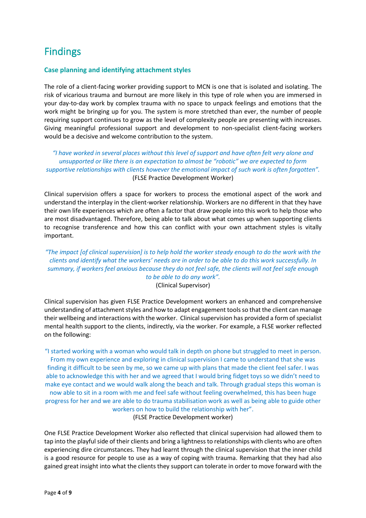# Findings

#### **Case planning and identifying attachment styles**

The role of a client-facing worker providing support to MCN is one that is isolated and isolating. The risk of vicarious trauma and burnout are more likely in this type of role when you are immersed in your day-to-day work by complex trauma with no space to unpack feelings and emotions that the work might be bringing up for you. The system is more stretched than ever, the number of people requiring support continues to grow as the level of complexity people are presenting with increases. Giving meaningful professional support and development to non-specialist client-facing workers would be a decisive and welcome contribution to the system.

*"I have worked in several places without this level of support and have often felt very alone and unsupported or like there is an expectation to almost be "robotic" we are expected to form supportive relationships with clients however the emotional impact of such work is often forgotten".* (FLSE Practice Development Worker)

Clinical supervision offers a space for workers to process the emotional aspect of the work and understand the interplay in the client-worker relationship. Workers are no different in that they have their own life experiences which are often a factor that draw people into this work to help those who are most disadvantaged. Therefore, being able to talk about what comes up when supporting clients to recognise transference and how this can conflict with your own attachment styles is vitally important.

### *"The impact [of clinical supervision] is to help hold the worker steady enough to do the work with the clients and identify what the workers' needs are in order to be able to do this work successfully. In summary, if workers feel anxious because they do not feel safe, the clients will not feel safe enough to be able to do any work".*

(Clinical Supervisor)

Clinical supervision has given FLSE Practice Development workers an enhanced and comprehensive understanding of attachment styles and how to adapt engagement tools so that the client can manage their wellbeing and interactions with the worker. Clinical supervision has provided a form of specialist mental health support to the clients, indirectly, via the worker. For example, a FLSE worker reflected on the following:

"I started working with a woman who would talk in depth on phone but struggled to meet in person. From my own experience and exploring in clinical supervision I came to understand that she was finding it difficult to be seen by me, so we came up with plans that made the client feel safer. I was able to acknowledge this with her and we agreed that I would bring fidget toys so we didn't need to make eye contact and we would walk along the beach and talk. Through gradual steps this woman is now able to sit in a room with me and feel safe without feeling overwhelmed, this has been huge progress for her and we are able to do trauma stabilisation work as well as being able to guide other workers on how to build the relationship with her". (FLSE Practice Development worker)

One FLSE Practice Development Worker also reflected that clinical supervision had allowed them to tap into the playful side of their clients and bring a lightness to relationships with clients who are often experiencing dire circumstances. They had learnt through the clinical supervision that the inner child is a good resource for people to use as a way of coping with trauma. Remarking that they had also gained great insight into what the clients they support can tolerate in order to move forward with the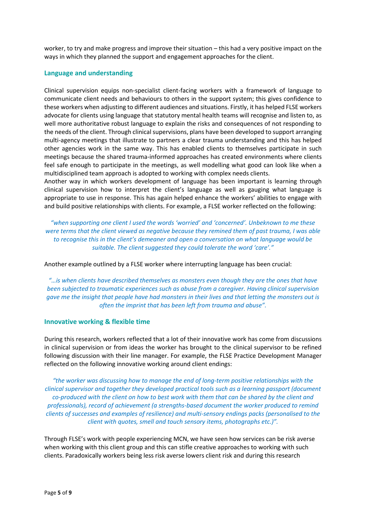worker, to try and make progress and improve their situation – this had a very positive impact on the ways in which they planned the support and engagement approaches for the client.

#### **Language and understanding**

Clinical supervision equips non-specialist client-facing workers with a framework of language to communicate client needs and behaviours to others in the support system; this gives confidence to these workers when adjusting to different audiences and situations. Firstly, it has helped FLSE workers advocate for clients using language that statutory mental health teams will recognise and listen to, as well more authoritative robust language to explain the risks and consequences of not responding to the needs of the client. Through clinical supervisions, plans have been developed to support arranging multi-agency meetings that illustrate to partners a clear trauma understanding and this has helped other agencies work in the same way. This has enabled clients to themselves participate in such meetings because the shared trauma-informed approaches has created environments where clients feel safe enough to participate in the meetings, as well modelling what good can look like when a multidisciplined team approach is adopted to working with complex needs clients.

Another way in which workers development of language has been important is learning through clinical supervision how to interpret the client's language as well as gauging what language is appropriate to use in response. This has again helped enhance the workers' abilities to engage with and build positive relationships with clients. For example, a FLSE worker reflected on the following:

*"when supporting one client I used the words 'worried' and 'concerned'. Unbeknown to me these were terms that the client viewed as negative because they remined them of past trauma, I was able to recognise this in the client's demeaner and open a conversation on what language would be suitable. The client suggested they could tolerate the word 'care'."*

Another example outlined by a FLSE worker where interrupting language has been crucial:

*"…is when clients have described themselves as monsters even though they are the ones that have been subjected to traumatic experiences such as abuse from a caregiver. Having clinical supervision gave me the insight that people have had monsters in their lives and that letting the monsters out is often the imprint that has been left from trauma and abuse".* 

#### **Innovative working & flexible time**

During this research, workers reflected that a lot of their innovative work has come from discussions in clinical supervision or from ideas the worker has brought to the clinical supervisor to be refined following discussion with their line manager. For example, the FLSE Practice Development Manager reflected on the following innovative working around client endings:

*"the worker was discussing how to manage the end of long-term positive relationships with the clinical supervisor and together they developed practical tools such as a learning passport (document co-produced with the client on how to best work with them that can be shared by the client and professionals), record of achievement (a strengths-based document the worker produced to remind clients of successes and examples of resilience) and multi-sensory endings packs (personalised to the client with quotes, smell and touch sensory items, photographs etc.)".*

Through FLSE's work with people experiencing MCN, we have seen how services can be risk averse when working with this client group and this can stifle creative approaches to working with such clients. Paradoxically workers being less risk averse lowers client risk and during this research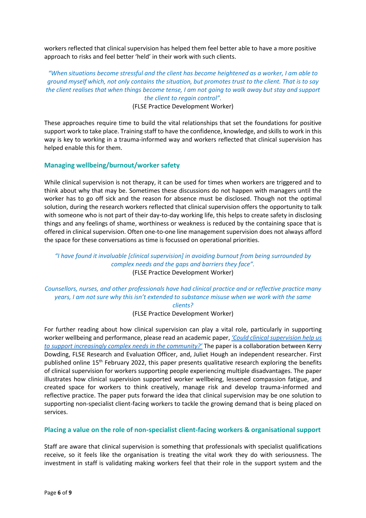workers reflected that clinical supervision has helped them feel better able to have a more positive approach to risks and feel better 'held' in their work with such clients.

*"When situations become stressful and the client has become heightened as a worker, I am able to ground myself which, not only contains the situation, but promotes trust to the client. That is to say the client realises that when things become tense, I am not going to walk away but stay and support the client to regain control".*

(FLSE Practice Development Worker)

These approaches require time to build the vital relationships that set the foundations for positive support work to take place. Training staff to have the confidence, knowledge, and skills to work in this way is key to working in a trauma-informed way and workers reflected that clinical supervision has helped enable this for them.

#### **Managing wellbeing/burnout/worker safety**

While clinical supervision is not therapy, it can be used for times when workers are triggered and to think about why that may be. Sometimes these discussions do not happen with managers until the worker has to go off sick and the reason for absence must be disclosed. Though not the optimal solution, during the research workers reflected that clinical supervision offers the opportunity to talk with someone who is not part of their day-to-day working life, this helps to create safety in disclosing things and any feelings of shame, worthiness or weakness is reduced by the containing space that is offered in clinical supervision. Often one-to-one line management supervision does not always afford the space for these conversations as time is focussed on operational priorities.

#### *"I have found it invaluable [clinical supervision] in avoiding burnout from being surrounded by complex needs and the gaps and barriers they face".* (FLSE Practice Development Worker)

*Counsellors, nurses, and other professionals have had clinical practice and or reflective practice many years, I am not sure why this isn't extended to substance misuse when we work with the same clients?*

(FLSE Practice Development Worker)

For further reading about how clinical supervision can play a vital role, particularly in supporting worker wellbeing and performance, please read an academic paper, *['Could clinical supervision help us](https://bristoluniversitypressdigital.com/view/journals/vsr/aop/article-10.1332-204080521X16420722745738/article-10.1332-204080521X16420722745738.xml)  [to support increasingly complex needs in the community?'](https://bristoluniversitypressdigital.com/view/journals/vsr/aop/article-10.1332-204080521X16420722745738/article-10.1332-204080521X16420722745738.xml)* The paper is a collaboration between Kerry Dowding, FLSE Research and Evaluation Officer, and, Juliet Hough an independent researcher. First published online 15th February 2022, this paper presents qualitative research exploring the benefits of clinical supervision for workers supporting people experiencing multiple disadvantages. The paper illustrates how clinical supervision supported worker wellbeing, lessened compassion fatigue, and created space for workers to think creatively, manage risk and develop trauma-informed and reflective practice. The paper puts forward the idea that clinical supervision may be one solution to supporting non-specialist client-facing workers to tackle the growing demand that is being placed on services.

#### **Placing a value on the role of non-specialist client-facing workers & organisational support**

Staff are aware that clinical supervision is something that professionals with specialist qualifications receive, so it feels like the organisation is treating the vital work they do with seriousness. The investment in staff is validating making workers feel that their role in the support system and the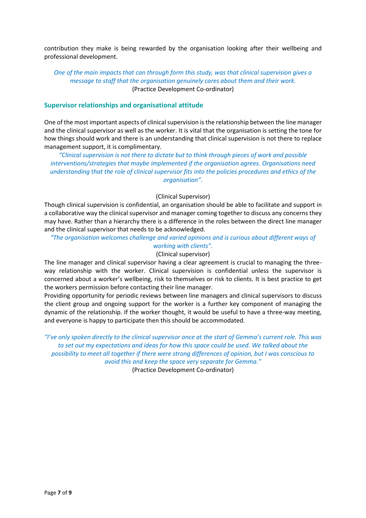contribution they make is being rewarded by the organisation looking after their wellbeing and professional development.

#### *One of the main impacts that can through form this study, was that clinical supervision gives a message to staff that the organisation genuinely cares about them and their work.* (Practice Development Co-ordinator)

#### **Supervisor relationships and organisational attitude**

One of the most important aspects of clinical supervision is the relationship between the line manager and the clinical supervisor as well as the worker. It is vital that the organisation is setting the tone for how things should work and there is an understanding that clinical supervision is not there to replace management support, it is complimentary.

*"Clinical supervision is not there to dictate but to think through pieces of work and possible interventions/strategies that maybe implemented if the organisation agrees. Organisations need understanding that the role of clinical supervisor fits into the policies procedures and ethics of the organisation".*

#### (Clinical Supervisor)

Though clinical supervision is confidential, an organisation should be able to facilitate and support in a collaborative way the clinical supervisor and manager coming together to discuss any concerns they may have. Rather than a hierarchy there is a difference in the roles between the direct line manager and the clinical supervisor that needs to be acknowledged.

*"The organisation welcomes challenge and varied opinions and is curious about different ways of* 

#### *working with clients".*

(Clinical supervisor)

The line manager and clinical supervisor having a clear agreement is crucial to managing the threeway relationship with the worker. Clinical supervision is confidential unless the supervisor is concerned about a worker's wellbeing, risk to themselves or risk to clients. It is best practice to get the workers permission before contacting their line manager.

Providing opportunity for periodic reviews between line managers and clinical supervisors to discuss the client group and ongoing support for the worker is a further key component of managing the dynamic of the relationship. If the worker thought, it would be useful to have a three-way meeting, and everyone is happy to participate then this should be accommodated.

*"I've only spoken directly to the clinical supervisor once at the start of Gemma's current role. This was to set out my expectations and ideas for how this space could be used. We talked about the possibility to meet all together if there were strong differences of opinion, but I was conscious to avoid this and keep the space very separate for Gemma."*

(Practice Development Co-ordinator)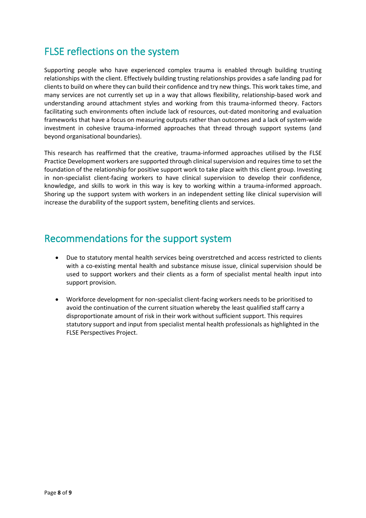# FLSE reflections on the system

Supporting people who have experienced complex trauma is enabled through building trusting relationships with the client. Effectively building trusting relationships provides a safe landing pad for clients to build on where they can build their confidence and try new things. This work takes time, and many services are not currently set up in a way that allows flexibility, relationship-based work and understanding around attachment styles and working from this trauma-informed theory. Factors facilitating such environments often include lack of resources, out-dated monitoring and evaluation frameworks that have a focus on measuring outputs rather than outcomes and a lack of system-wide investment in cohesive trauma-informed approaches that thread through support systems (and beyond organisational boundaries).

This research has reaffirmed that the creative, trauma-informed approaches utilised by the FLSE Practice Development workers are supported through clinical supervision and requires time to set the foundation of the relationship for positive support work to take place with this client group. Investing in non-specialist client-facing workers to have clinical supervision to develop their confidence, knowledge, and skills to work in this way is key to working within a trauma-informed approach. Shoring up the support system with workers in an independent setting like clinical supervision will increase the durability of the support system, benefiting clients and services.

## Recommendations for the support system

- Due to statutory mental health services being overstretched and access restricted to clients with a co-existing mental health and substance misuse issue, clinical supervision should be used to support workers and their clients as a form of specialist mental health input into support provision.
- Workforce development for non-specialist client-facing workers needs to be prioritised to avoid the continuation of the current situation whereby the least qualified staff carry a disproportionate amount of risk in their work without sufficient support. This requires statutory support and input from specialist mental health professionals as highlighted in the FLSE Perspectives Project.